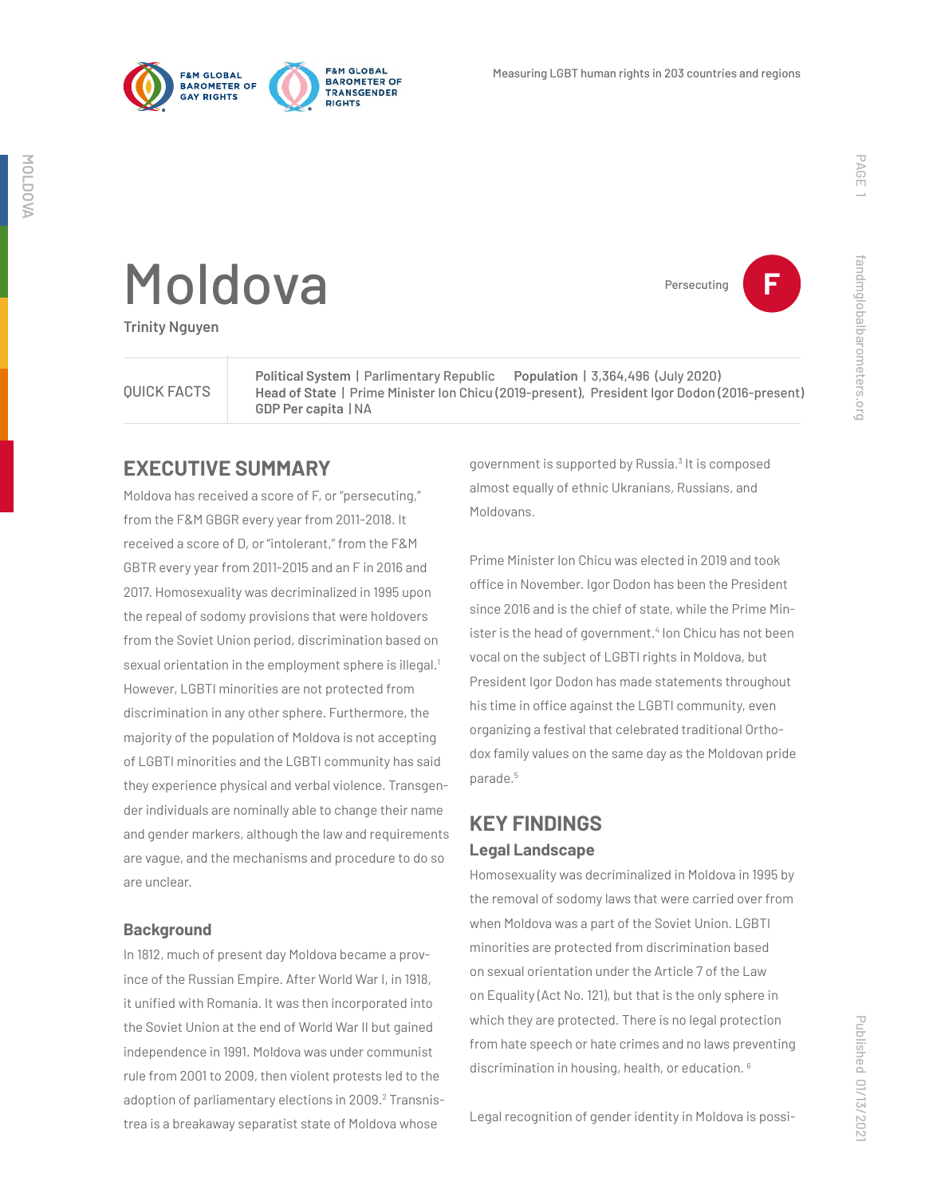

**FRM GLORAL** 

**PIGHTS** 

**BAROMETER OF** 

TRANSGENDER



Persecuting **F**

fandmglobalbarometers.org

fandmglobalbarometers.org

# Moldova

**Trinity Nguyen**

QUICK FACTS

**Political System** | Parlimentary Republic **Population** | 3,364,496 (July 2020) **Head of State** | Prime Minister Ion Chicu (2019-present), President Igor Dodon (2016-present) **GDP Per capita** | NA

### **EXECUTIVE SUMMARY**

Moldova has received a score of F, or "persecuting," from the F&M GBGR every year from 2011-2018. It received a score of D, or "intolerant," from the F&M GBTR every year from 2011-2015 and an F in 2016 and 2017. Homosexuality was decriminalized in 1995 upon the repeal of sodomy provisions that were holdovers from the Soviet Union period, discrimination based on sexual orientation in the employment sphere is illegal.<sup>1</sup> However, LGBTI minorities are not protected from discrimination in any other sphere. Furthermore, the majority of the population of Moldova is not accepting of LGBTI minorities and the LGBTI community has said they experience physical and verbal violence. Transgender individuals are nominally able to change their name and gender markers, although the law and requirements are vague, and the mechanisms and procedure to do so are unclear.

#### **Background**

In 1812, much of present day Moldova became a province of the Russian Empire. After World War I, in 1918, it unified with Romania. It was then incorporated into the Soviet Union at the end of World War II but gained independence in 1991. Moldova was under communist rule from 2001 to 2009, then violent protests led to the adoption of parliamentary elections in 2009.<sup>2</sup> Transnistrea is a breakaway separatist state of Moldova whose

government is supported by Russia.<sup>3</sup> It is composed almost equally of ethnic Ukranians, Russians, and Moldovans.

Prime Minister Ion Chicu was elected in 2019 and took office in November. Igor Dodon has been the President since 2016 and is the chief of state, while the Prime Minister is the head of government.<sup>4</sup> Ion Chicu has not been vocal on the subject of LGBTI rights in Moldova, but President Igor Dodon has made statements throughout his time in office against the LGBTI community, even organizing a festival that celebrated traditional Orthodox family values on the same day as the Moldovan pride parade.5

## **KEY FINDINGS Legal Landscape**

Homosexuality was decriminalized in Moldova in 1995 by the removal of sodomy laws that were carried over from when Moldova was a part of the Soviet Union. LGBTI minorities are protected from discrimination based on sexual orientation under the Article 7 of the Law on Equality (Act No. 121), but that is the only sphere in which they are protected. There is no legal protection from hate speech or hate crimes and no laws preventing discrimination in housing, health, or education. 6

Published 01/13/2021 Published 01/13/202

Legal recognition of gender identity in Moldova is possi-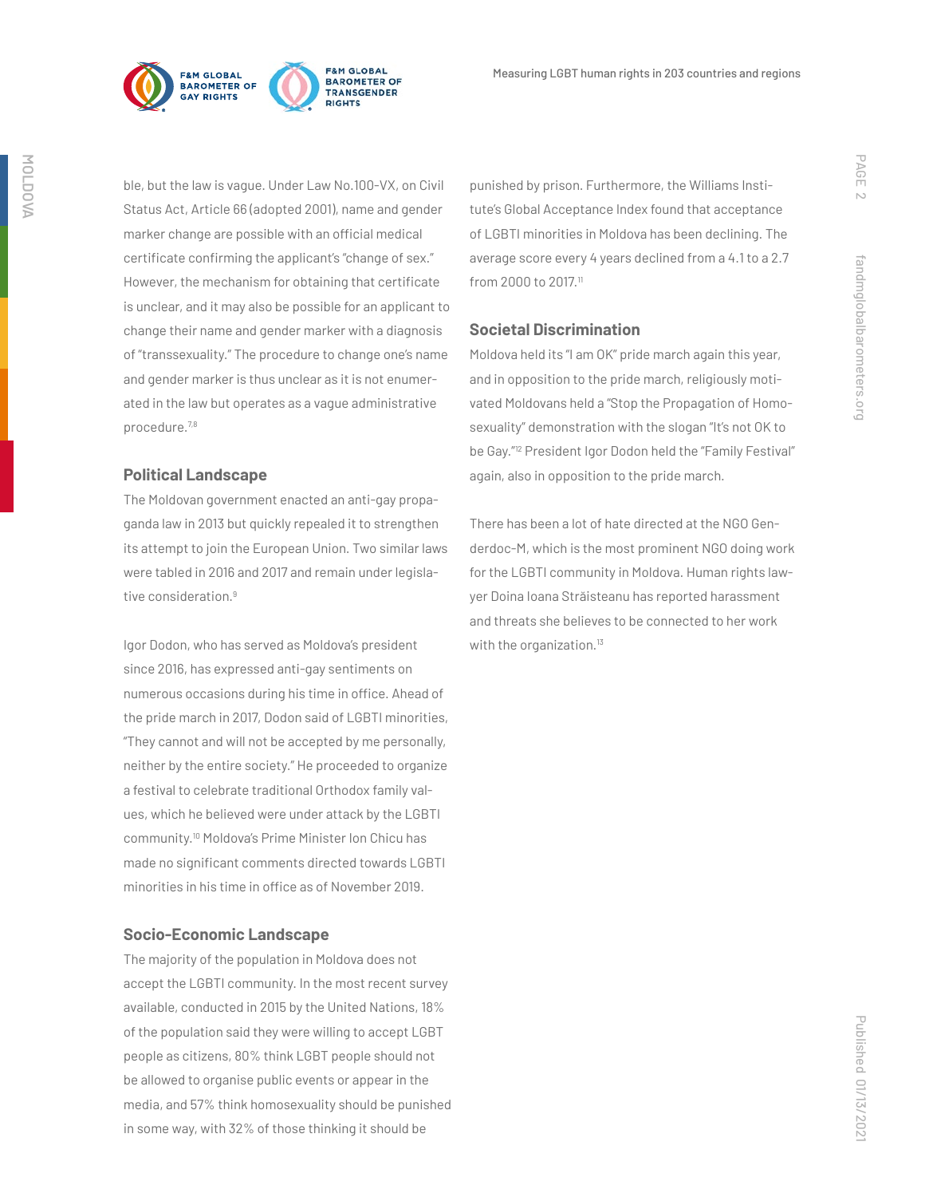

ble, but the law is vague. Under Law No.100-VX, on Civil Status Act, Article 66 (adopted 2001), name and gender marker change are possible with an official medical certificate confirming the applicant's "change of sex." However, the mechanism for obtaining that certificate is unclear, and it may also be possible for an applicant to change their name and gender marker with a diagnosis of "transsexuality." The procedure to change one's name and gender marker is thus unclear as it is not enumerated in the law but operates as a vague administrative procedure.7,8

#### **Political Landscape**

The Moldovan government enacted an anti-gay propaganda law in 2013 but quickly repealed it to strengthen its attempt to join the European Union. Two similar laws were tabled in 2016 and 2017 and remain under legislative consideration.<sup>9</sup>

Igor Dodon, who has served as Moldova's president since 2016, has expressed anti-gay sentiments on numerous occasions during his time in office. Ahead of the pride march in 2017, Dodon said of LGBTI minorities, "They cannot and will not be accepted by me personally, neither by the entire society." He proceeded to organize a festival to celebrate traditional Orthodox family values, which he believed were under attack by the LGBTI community.10 Moldova's Prime Minister Ion Chicu has made no significant comments directed towards LGBTI minorities in his time in office as of November 2019.

#### **Socio-Economic Landscape**

The majority of the population in Moldova does not accept the LGBTI community. In the most recent survey available, conducted in 2015 by the United Nations, 18% of the population said they were willing to accept LGBT people as citizens, 80% think LGBT people should not be allowed to organise public events or appear in the media, and 57% think homosexuality should be punished in some way, with 32% of those thinking it should be

punished by prison. Furthermore, the Williams Institute's Global Acceptance Index found that acceptance of LGBTI minorities in Moldova has been declining. The average score every 4 years declined from a 4.1 to a 2.7 from 2000 to 2017.11

#### **Societal Discrimination**

Moldova held its "I am OK" pride march again this year, and in opposition to the pride march, religiously motivated Moldovans held a "Stop the Propagation of Homosexuality" demonstration with the slogan "It's not OK to be Gay."12 President Igor Dodon held the "Family Festival" again, also in opposition to the pride march.

There has been a lot of hate directed at the NGO Genderdoc-M, which is the most prominent NGO doing work for the LGBTI community in Moldova. Human rights lawyer Doina Ioana Străisteanu has reported harassment and threats she believes to be connected to her work with the organization.<sup>13</sup>

PAGE 2

fandmglobalbarometers.org

fandmglobalbarometers.org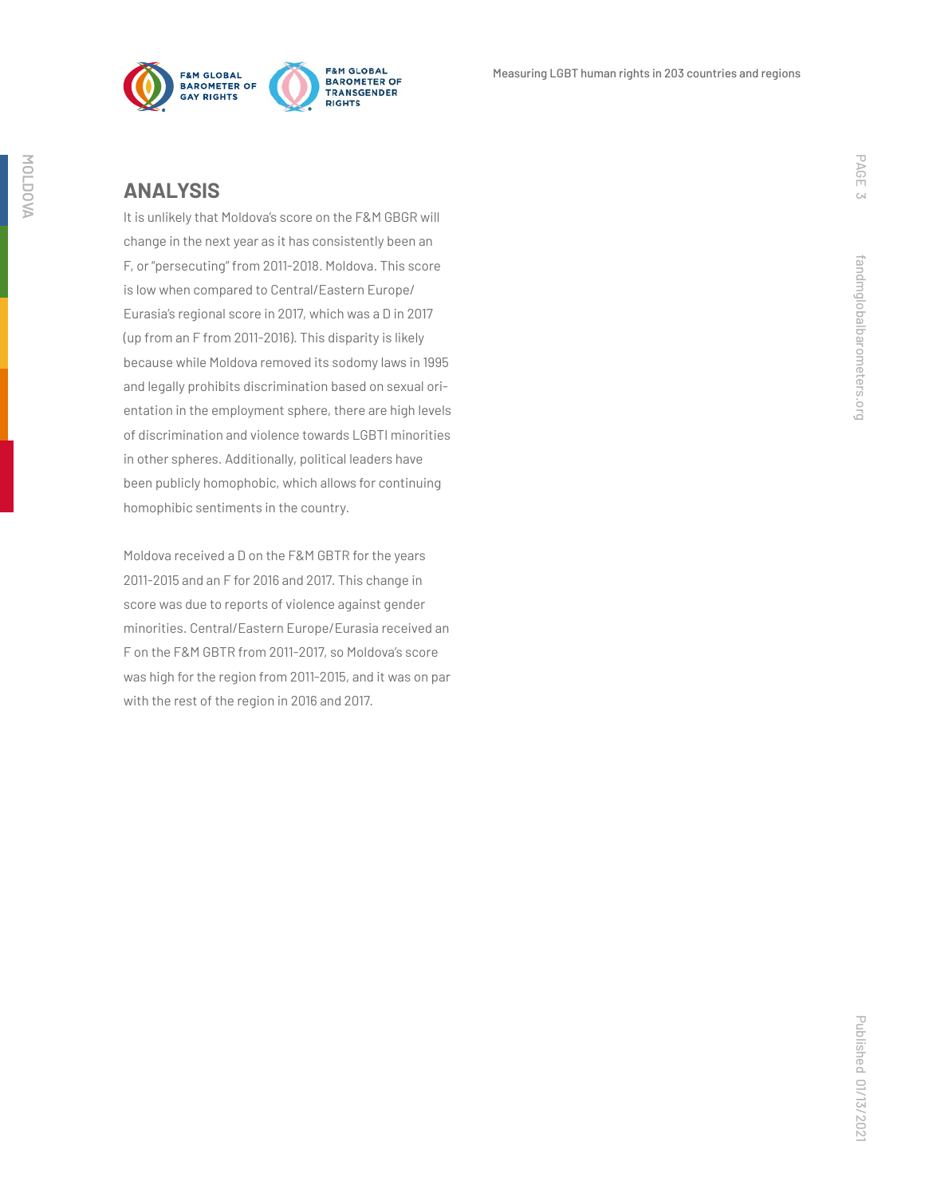

#### **ANALYSIS**

It is unlikely that Moldova's score on the F&M GBGR will change in the next year as it has consistently been an F, or "persecuting" from 2011-2018. Moldova. This score is low when compared to Central/Eastern Europe/ Eurasia's regional score in 2017, which was a D in 2017 (up from an F from 2011-2016). This disparity is likely because while Moldova removed its sodomy laws in 1995 and legally prohibits discrimination based on sexual orientation in the employment sphere, there are high levels of discrimination and violence towards LGBTI minorities in other spheres. Additionally, political leaders have been publicly homophobic, which allows for continuing homophibic sentiments in the country.

Moldova received a D on the F&M GBTR for the years 2011-2015 and an F for 2016 and 2017. This change in score was due to reports of violence against gender minorities. Central/Eastern Europe/Eurasia received an F on the F&M GBTR from 2011-2017, so Moldova's score was high for the region from 2011-2015, and it was on par with the rest of the region in 2016 and 2017.